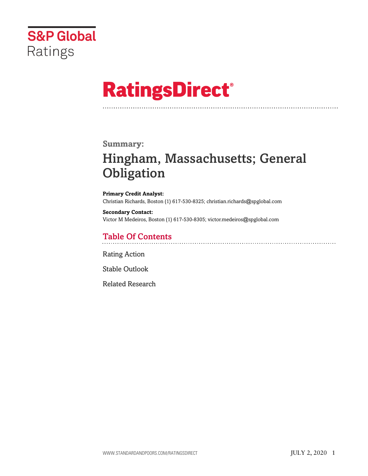

# **RatingsDirect®**

### **Summary:**

# Hingham, Massachusetts; General **Obligation**

**Primary Credit Analyst:** Christian Richards, Boston (1) 617-530-8325; christian.richards@spglobal.com

**Secondary Contact:** Victor M Medeiros, Boston (1) 617-530-8305; victor.medeiros@spglobal.com

# Table Of Contents

[Rating Action](#page-1-0)

[Stable Outlook](#page-2-0)

[Related Research](#page-7-0)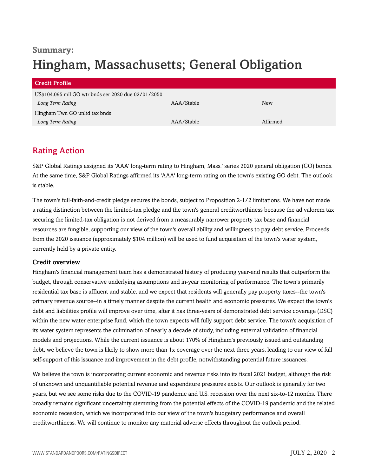# **Summary:** Hingham, Massachusetts; General Obligation

| <b>Credit Profile</b>                               |            |          |
|-----------------------------------------------------|------------|----------|
| US\$104.095 mil GO wtr bnds ser 2020 due 02/01/2050 |            |          |
| Long Term Rating                                    | AAA/Stable | New      |
| Hingham Twn GO unltd tax bnds                       |            |          |
| Long Term Rating                                    | AAA/Stable | Affirmed |

# <span id="page-1-0"></span>Rating Action

S&P Global Ratings assigned its 'AAA' long-term rating to Hingham, Mass.' series 2020 general obligation (GO) bonds. At the same time, S&P Global Ratings affirmed its 'AAA' long-term rating on the town's existing GO debt. The outlook is stable.

The town's full-faith-and-credit pledge secures the bonds, subject to Proposition 2-1/2 limitations. We have not made a rating distinction between the limited-tax pledge and the town's general creditworthiness because the ad valorem tax securing the limited-tax obligation is not derived from a measurably narrower property tax base and financial resources are fungible, supporting our view of the town's overall ability and willingness to pay debt service. Proceeds from the 2020 issuance (approximately \$104 million) will be used to fund acquisition of the town's water system, currently held by a private entity.

#### Credit overview

Hingham's financial management team has a demonstrated history of producing year-end results that outperform the budget, through conservative underlying assumptions and in-year monitoring of performance. The town's primarily residential tax base is affluent and stable, and we expect that residents will generally pay property taxes--the town's primary revenue source--in a timely manner despite the current health and economic pressures. We expect the town's debt and liabilities profile will improve over time, after it has three-years of demonstrated debt service coverage (DSC) within the new water enterprise fund, which the town expects will fully support debt service. The town's acquisition of its water system represents the culmination of nearly a decade of study, including external validation of financial models and projections. While the current issuance is about 170% of Hingham's previously issued and outstanding debt, we believe the town is likely to show more than 1x coverage over the next three years, leading to our view of full self-support of this issuance and improvement in the debt profile, notwithstanding potential future issuances.

We believe the town is incorporating current economic and revenue risks into its fiscal 2021 budget, although the risk of unknown and unquantifiable potential revenue and expenditure pressures exists. Our outlook is generally for two years, but we see some risks due to the COVID-19 pandemic and U.S. recession over the next six-to-12 months. There broadly remains significant uncertainty stemming from the potential effects of the COVID-19 pandemic and the related economic recession, which we incorporated into our view of the town's budgetary performance and overall creditworthiness. We will continue to monitor any material adverse effects throughout the outlook period.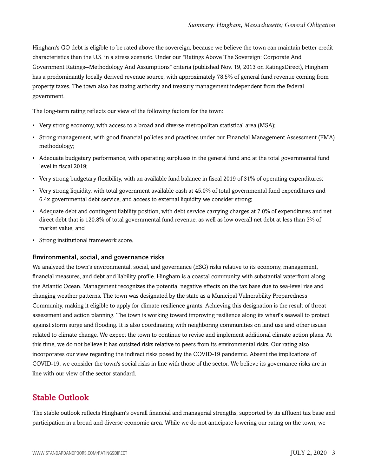Hingham's GO debt is eligible to be rated above the sovereign, because we believe the town can maintain better credit characteristics than the U.S. in a stress scenario. Under our "Ratings Above The Sovereign: Corporate And Government Ratings--Methodology And Assumptions" criteria (published Nov. 19, 2013 on RatingsDirect), Hingham has a predominantly locally derived revenue source, with approximately 78.5% of general fund revenue coming from property taxes. The town also has taxing authority and treasury management independent from the federal government.

The long-term rating reflects our view of the following factors for the town:

- Very strong economy, with access to a broad and diverse metropolitan statistical area (MSA);
- Strong management, with good financial policies and practices under our Financial Management Assessment (FMA) methodology;
- Adequate budgetary performance, with operating surpluses in the general fund and at the total governmental fund level in fiscal 2019;
- Very strong budgetary flexibility, with an available fund balance in fiscal 2019 of 31% of operating expenditures;
- Very strong liquidity, with total government available cash at 45.0% of total governmental fund expenditures and 6.4x governmental debt service, and access to external liquidity we consider strong;
- Adequate debt and contingent liability position, with debt service carrying charges at 7.0% of expenditures and net direct debt that is 120.8% of total governmental fund revenue, as well as low overall net debt at less than 3% of market value; and
- Strong institutional framework score.

#### Environmental, social, and governance risks

We analyzed the town's environmental, social, and governance (ESG) risks relative to its economy, management, financial measures, and debt and liability profile. Hingham is a coastal community with substantial waterfront along the Atlantic Ocean. Management recognizes the potential negative effects on the tax base due to sea-level rise and changing weather patterns. The town was designated by the state as a Municipal Vulnerability Preparedness Community, making it eligible to apply for climate resilience grants. Achieving this designation is the result of threat assessment and action planning. The town is working toward improving resilience along its wharf's seawall to protect against storm surge and flooding. It is also coordinating with neighboring communities on land use and other issues related to climate change. We expect the town to continue to revise and implement additional climate action plans. At this time, we do not believe it has outsized risks relative to peers from its environmental risks. Our rating also incorporates our view regarding the indirect risks posed by the COVID-19 pandemic. Absent the implications of COVID-19, we consider the town's social risks in line with those of the sector. We believe its governance risks are in line with our view of the sector standard.

### <span id="page-2-0"></span>Stable Outlook

The stable outlook reflects Hingham's overall financial and managerial strengths, supported by its affluent tax base and participation in a broad and diverse economic area. While we do not anticipate lowering our rating on the town, we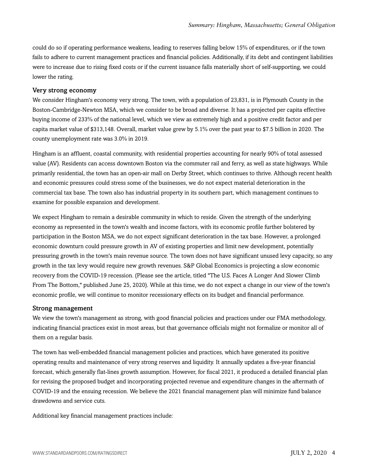could do so if operating performance weakens, leading to reserves falling below 15% of expenditures, or if the town fails to adhere to current management practices and financial policies. Additionally, if its debt and contingent liabilities were to increase due to rising fixed costs or if the current issuance falls materially short of self-supporting, we could lower the rating.

#### Very strong economy

We consider Hingham's economy very strong. The town, with a population of 23,831, is in Plymouth County in the Boston-Cambridge-Newton MSA, which we consider to be broad and diverse. It has a projected per capita effective buying income of 233% of the national level, which we view as extremely high and a positive credit factor and per capita market value of \$313,148. Overall, market value grew by 5.1% over the past year to \$7.5 billion in 2020. The county unemployment rate was 3.0% in 2019.

Hingham is an affluent, coastal community, with residential properties accounting for nearly 90% of total assessed value (AV). Residents can access downtown Boston via the commuter rail and ferry, as well as state highways. While primarily residential, the town has an open-air mall on Derby Street, which continues to thrive. Although recent health and economic pressures could stress some of the businesses, we do not expect material deterioration in the commercial tax base. The town also has industrial property in its southern part, which management continues to examine for possible expansion and development.

We expect Hingham to remain a desirable community in which to reside. Given the strength of the underlying economy as represented in the town's wealth and income factors, with its economic profile further bolstered by participation in the Boston MSA, we do not expect significant deterioration in the tax base. However, a prolonged economic downturn could pressure growth in AV of existing properties and limit new development, potentially pressuring growth in the town's main revenue source. The town does not have significant unused levy capacity, so any growth in the tax levy would require new growth revenues. S&P Global Economics is projecting a slow economic recovery from the COVID-19 recession. (Please see the article, titled "The U.S. Faces A Longer And Slower Climb From The Bottom," published June 25, 2020). While at this time, we do not expect a change in our view of the town's economic profile, we will continue to monitor recessionary effects on its budget and financial performance.

#### Strong management

We view the town's management as strong, with good financial policies and practices under our FMA methodology, indicating financial practices exist in most areas, but that governance officials might not formalize or monitor all of them on a regular basis.

The town has well-embedded financial management policies and practices, which have generated its positive operating results and maintenance of very strong reserves and liquidity. It annually updates a five-year financial forecast, which generally flat-lines growth assumption. However, for fiscal 2021, it produced a detailed financial plan for revising the proposed budget and incorporating projected revenue and expenditure changes in the aftermath of COVID-19 and the ensuing recession. We believe the 2021 financial management plan will minimize fund balance drawdowns and service cuts.

Additional key financial management practices include: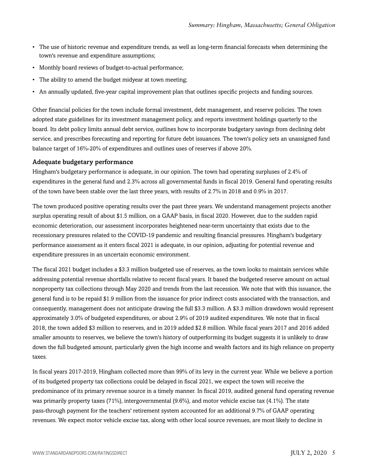- The use of historic revenue and expenditure trends, as well as long-term financial forecasts when determining the town's revenue and expenditure assumptions;
- Monthly board reviews of budget-to-actual performance;
- The ability to amend the budget midyear at town meeting;
- An annually updated, five-year capital improvement plan that outlines specific projects and funding sources.

Other financial policies for the town include formal investment, debt management, and reserve policies. The town adopted state guidelines for its investment management policy, and reports investment holdings quarterly to the board. Its debt policy limits annual debt service, outlines how to incorporate budgetary savings from declining debt service, and prescribes forecasting and reporting for future debt issuances. The town's policy sets an unassigned fund balance target of 16%-20% of expenditures and outlines uses of reserves if above 20%.

#### Adequate budgetary performance

Hingham's budgetary performance is adequate, in our opinion. The town had operating surpluses of 2.4% of expenditures in the general fund and 2.3% across all governmental funds in fiscal 2019. General fund operating results of the town have been stable over the last three years, with results of 2.7% in 2018 and 0.9% in 2017.

The town produced positive operating results over the past three years. We understand management projects another surplus operating result of about \$1.5 million, on a GAAP basis, in fiscal 2020. However, due to the sudden rapid economic deterioration, our assessment incorporates heightened near-term uncertainty that exists due to the recessionary pressures related to the COVID-19 pandemic and resulting financial pressures. Hingham's budgetary performance assessment as it enters fiscal 2021 is adequate, in our opinion, adjusting for potential revenue and expenditure pressures in an uncertain economic environment.

The fiscal 2021 budget includes a \$3.3 million budgeted use of reserves, as the town looks to maintain services while addressing potential revenue shortfalls relative to recent fiscal years. It based the budgeted reserve amount on actual nonproperty tax collections through May 2020 and trends from the last recession. We note that with this issuance, the general fund is to be repaid \$1.9 million from the issuance for prior indirect costs associated with the transaction, and consequently, management does not anticipate drawing the full \$3.3 million. A \$3.3 million drawdown would represent approximately 3.0% of budgeted expenditures, or about 2.9% of 2019 audited expenditures. We note that in fiscal 2018, the town added \$3 million to reserves, and in 2019 added \$2.8 million. While fiscal years 2017 and 2016 added smaller amounts to reserves, we believe the town's history of outperforming its budget suggests it is unlikely to draw down the full budgeted amount, particularly given the high income and wealth factors and its high reliance on property taxes.

In fiscal years 2017-2019, Hingham collected more than 99% of its levy in the current year. While we believe a portion of its budgeted property tax collections could be delayed in fiscal 2021, we expect the town will receive the predominance of its primary revenue source in a timely manner. In fiscal 2019, audited general fund operating revenue was primarily property taxes (71%), intergovernmental (9.6%), and motor vehicle excise tax (4.1%). The state pass-through payment for the teachers' retirement system accounted for an additional 9.7% of GAAP operating revenues. We expect motor vehicle excise tax, along with other local source revenues, are most likely to decline in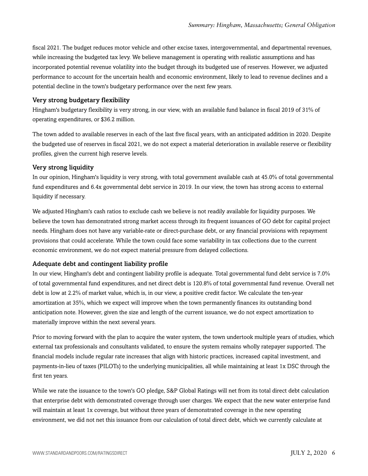fiscal 2021. The budget reduces motor vehicle and other excise taxes, intergovernmental, and departmental revenues, while increasing the budgeted tax levy. We believe management is operating with realistic assumptions and has incorporated potential revenue volatility into the budget through its budgeted use of reserves. However, we adjusted performance to account for the uncertain health and economic environment, likely to lead to revenue declines and a potential decline in the town's budgetary performance over the next few years.

#### Very strong budgetary flexibility

Hingham's budgetary flexibility is very strong, in our view, with an available fund balance in fiscal 2019 of 31% of operating expenditures, or \$36.2 million.

The town added to available reserves in each of the last five fiscal years, with an anticipated addition in 2020. Despite the budgeted use of reserves in fiscal 2021, we do not expect a material deterioration in available reserve or flexibility profiles, given the current high reserve levels.

#### Very strong liquidity

In our opinion, Hingham's liquidity is very strong, with total government available cash at 45.0% of total governmental fund expenditures and 6.4x governmental debt service in 2019. In our view, the town has strong access to external liquidity if necessary.

We adjusted Hingham's cash ratios to exclude cash we believe is not readily available for liquidity purposes. We believe the town has demonstrated strong market access through its frequent issuances of GO debt for capital project needs. Hingham does not have any variable-rate or direct-purchase debt, or any financial provisions with repayment provisions that could accelerate. While the town could face some variability in tax collections due to the current economic environment, we do not expect material pressure from delayed collections.

#### Adequate debt and contingent liability profile

In our view, Hingham's debt and contingent liability profile is adequate. Total governmental fund debt service is 7.0% of total governmental fund expenditures, and net direct debt is 120.8% of total governmental fund revenue. Overall net debt is low at 2.2% of market value, which is, in our view, a positive credit factor. We calculate the ten-year amortization at 35%, which we expect will improve when the town permanently finances its outstanding bond anticipation note. However, given the size and length of the current issuance, we do not expect amortization to materially improve within the next several years.

Prior to moving forward with the plan to acquire the water system, the town undertook multiple years of studies, which external tax professionals and consultants validated, to ensure the system remains wholly ratepayer supported. The financial models include regular rate increases that align with historic practices, increased capital investment, and payments-in-lieu of taxes (PILOTs) to the underlying municipalities, all while maintaining at least 1x DSC through the first ten years.

While we rate the issuance to the town's GO pledge, S&P Global Ratings will net from its total direct debt calculation that enterprise debt with demonstrated coverage through user charges. We expect that the new water enterprise fund will maintain at least 1x coverage, but without three years of demonstrated coverage in the new operating environment, we did not net this issuance from our calculation of total direct debt, which we currently calculate at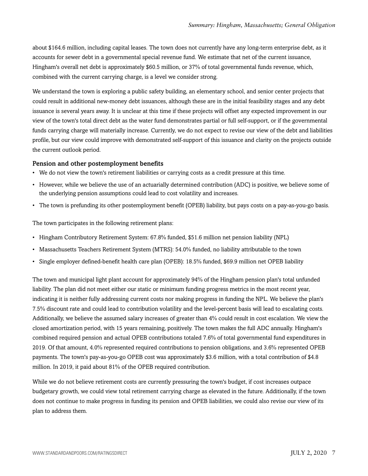about \$164.6 million, including capital leases. The town does not currently have any long-term enterprise debt, as it accounts for sewer debt in a governmental special revenue fund. We estimate that net of the current issuance, Hingham's overall net debt is approximately \$60.5 million, or 37% of total governmental funds revenue, which, combined with the current carrying charge, is a level we consider strong.

We understand the town is exploring a public safety building, an elementary school, and senior center projects that could result in additional new-money debt issuances, although these are in the initial feasibility stages and any debt issuance is several years away. It is unclear at this time if these projects will offset any expected improvement in our view of the town's total direct debt as the water fund demonstrates partial or full self-support, or if the governmental funds carrying charge will materially increase. Currently, we do not expect to revise our view of the debt and liabilities profile, but our view could improve with demonstrated self-support of this issuance and clarity on the projects outside the current outlook period.

#### Pension and other postemployment benefits

- We do not view the town's retirement liabilities or carrying costs as a credit pressure at this time.
- However, while we believe the use of an actuarially determined contribution (ADC) is positive, we believe some of the underlying pension assumptions could lead to cost volatility and increases.
- The town is prefunding its other postemployment benefit (OPEB) liability, but pays costs on a pay-as-you-go basis.

The town participates in the following retirement plans:

- Hingham Contributory Retirement System: 67.8% funded, \$51.6 million net pension liability (NPL)
- Massachusetts Teachers Retirement System (MTRS): 54.0% funded, no liability attributable to the town
- Single employer defined-benefit health care plan (OPEB): 18.5% funded, \$69.9 million net OPEB liability

The town and municipal light plant account for approximately 94% of the Hingham pension plan's total unfunded liability. The plan did not meet either our static or minimum funding progress metrics in the most recent year, indicating it is neither fully addressing current costs nor making progress in funding the NPL. We believe the plan's 7.5% discount rate and could lead to contribution volatility and the level-percent basis will lead to escalating costs. Additionally, we believe the assumed salary increases of greater than 4% could result in cost escalation. We view the closed amortization period, with 15 years remaining, positively. The town makes the full ADC annually. Hingham's combined required pension and actual OPEB contributions totaled 7.6% of total governmental fund expenditures in 2019. Of that amount, 4.0% represented required contributions to pension obligations, and 3.6% represented OPEB payments. The town's pay-as-you-go OPEB cost was approximately \$3.6 million, with a total contribution of \$4.8 million. In 2019, it paid about 81% of the OPEB required contribution.

While we do not believe retirement costs are currently pressuring the town's budget, if cost increases outpace budgetary growth, we could view total retirement carrying charge as elevated in the future. Additionally, if the town does not continue to make progress in funding its pension and OPEB liabilities, we could also revise our view of its plan to address them.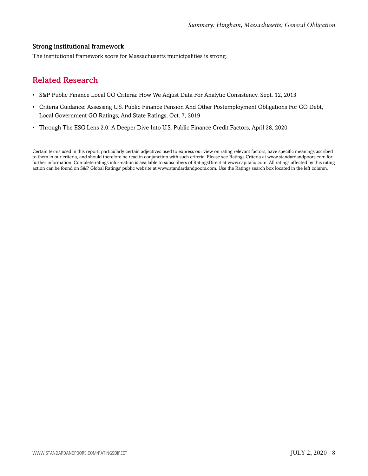#### Strong institutional framework

<span id="page-7-0"></span>The institutional framework score for Massachusetts municipalities is strong.

## Related Research

- S&P Public Finance Local GO Criteria: How We Adjust Data For Analytic Consistency, Sept. 12, 2013
- Criteria Guidance: Assessing U.S. Public Finance Pension And Other Postemployment Obligations For GO Debt, Local Government GO Ratings, And State Ratings, Oct. 7, 2019
- Through The ESG Lens 2.0: A Deeper Dive Into U.S. Public Finance Credit Factors, April 28, 2020

Certain terms used in this report, particularly certain adjectives used to express our view on rating relevant factors, have specific meanings ascribed to them in our criteria, and should therefore be read in conjunction with such criteria. Please see Ratings Criteria at www.standardandpoors.com for further information. Complete ratings information is available to subscribers of RatingsDirect at www.capitaliq.com. All ratings affected by this rating action can be found on S&P Global Ratings' public website at www.standardandpoors.com. Use the Ratings search box located in the left column.